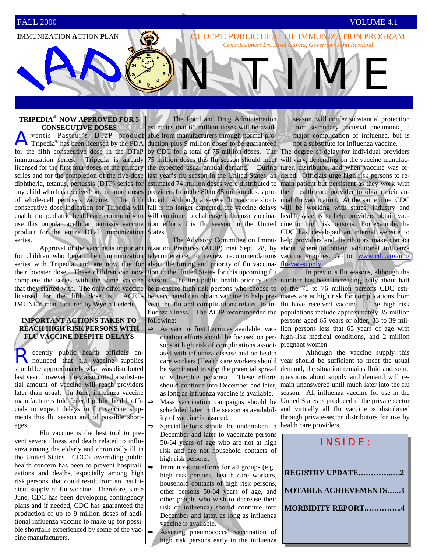**I**MMUNIZATION **A**CTION **P**LAN

#### **TRIPEDIA® NOW APPROVED FOR 5 CONSECUTIVE DOSES**

ventis Pasteur's DTaP product Tripedia**®** has been licensed by the FDA for the fifth consecutive dose in the DTaP immunization series. Tripedia is already licensed for the first four doses of the primary series and for the completion of the five-dose diphtheria, tetanus, pertussis (DTP) series for any child who has received one or more doses of whole-cell pertussis vaccine. The fifth duced. Although a severe flu vaccine shortconsecutive dose indication for Tripedia will fall is no longer expected, the vaccine delays enable the pediatric healthcare community to will continue to challenge influenza vaccinause this popular acellular pertussis vaccine tion efforts this flu season in the United product for the entire DTaP immunization States. series.

 Approval of the vaccine is important for children who began their immunization series with Tripedia, and are now due for their booster dose. These children can now complete the series with the same vaccine that they started with. The only other vaccine licensed for the fifth dose is ACEL-IMUNE® manufactured by Wyeth Lederle.

#### **IMPORTANT ACTIONS TAKEN TO REACH HIGH RISK PERSONS WITH FLU VACCINE DESPITE DELAYS**

Recently public health officials an-<br>nounced that flu vaccine supplies should be approximately what was distributed last year; however, they also noted a substantial amount of vaccine will reach providers later than usual. In June, influenza vaccine manufacturers told federal public health officials to expect delays in flu vaccine shipments this flu season and of possible shortages.

 Flu vaccine is the best tool to prevent severe illness and death related to influenza among the elderly and chronically ill in the United States. CDC's overriding public health concern has been to prevent hospitalizations and deaths, especially among high risk persons, that could result from an insufficient supply of flu vaccine. Therefore, since June, CDC has been developing contingency plans and if needed, CDC has guaranteed the production of up to 9 million doses of additional influenza vaccine to make up for possible shortfalls experienced by some of the vaccine manufacturers.

 The Food and Drug Administration estimates that 66 million doses will be available from manufacturers through normal production plus 9 million doses to be guaranteed by CDC for a total of 75 million doses. The 75 million doses this flu season should meet the expected usual annual demand. During last year's flu season in the United States, an dered. Officials urge high risk persons to reestimated 74 million doses were distributed to providers from the 80 to 85 million doses pro-

 The Advisory Committee on Immunization Practices (ACIP) met Sept. 28, by teleconference, to review recommendations about the timing and priority of flu vaccination in the United States for this upcoming flu season.The first public health priority is to help ensure high risk persons who choose to be vaccinated can obtain vaccine to help prevent the flu and complications related to influenza illness. The ACIP recommended the populations include approximately 35 million following:

⇒ As vaccine first becomes available, vaccination efforts should be focused on persons at high risk of complications associated with influenza disease and on health care workers (Health care workers should be vaccinated to stop the potential spread to vulnerable persons). These efforts should continue into December and later, as long as influenza vaccine is available.  $\Rightarrow$  Mass vaccination campaigns should be scheduled later in the season as availability of vaccine is assured.

⇒ Special efforts should be undertaken in December and later to vaccinate persons 50-64 years of age who are not at high risk and are not household contacts of high risk persons.

 $\Rightarrow$  Immunization efforts for all groups (e.g., high risk persons, health care workers, household contacts of high risk persons, other persons 50-64 years of age, and other people who wish to decrease their risk of influenza) should continue into December and later, as long as influenza vaccine is available.

⇒ Assuring pneumococcal vaccination of high risk persons early in the influenza season, will confer substantial protection from secondary bacterial pneumonia, a major complication of influenza, but is not a substitute for influenza vaccine.

NEWWWE

CT DEPT. PUBLIC HEALTH IMMUNIZATION PROGRAM *Commissioner: Dr. Joxel Garcia, Governor: John Rowland* 

> The degree of delay for individual providers will vary, depending on the vaccine manufacturer, distributor, and when vaccine was ormain patient but persistent as they work with their health care provider to obtain their annual flu vaccination. At the same time, CDC will be working with states, industry and health systems to help providers obtain vaccine for high risk persons. For example, the CDC has developed an internet website to help providers and distributors make contact about where to obtain additional influenza vaccine supplies. Go to: www.cdc.gov/nip/ flu-vac-supply

> In previous flu seasons, although the number has been increasing, only about half of the 70 to 76 million persons CDC estimates are at high risk for complications from flu have received vaccine. The high risk persons aged 65 years or older, 33 to 39 million persons less that 65 years of age with high-risk medical conditions, and 2 million pregnant women.

> Although the vaccine supply this year should be sufficient to meet the usual demand, the situation remains fluid and some questions about supply and demand will remain unanswered until much later into the flu season. All influenza vaccine for use in the United States is produced in the private sector and virtually all flu vaccine is distributed through private-sector distributors for use by health care providers.



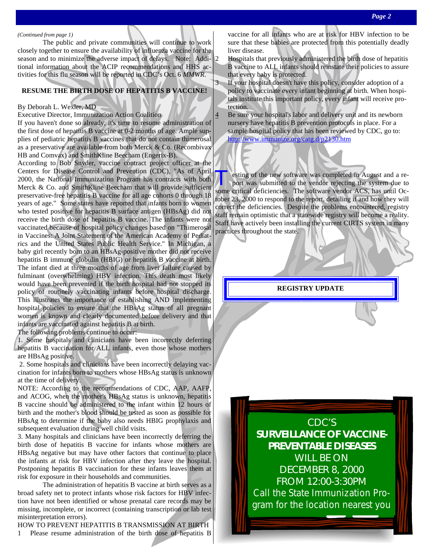#### *(Continued from page 1)*

 The public and private communities will continue to work closely together to ensure the availability of influenza vaccine for the season and to minimize the adverse impact of delays. Note: Additional information about the ACIP recommendations and HHS activities for this flu season will be reported in CDC's Oct. 6 *MMWR*.

#### **RESUME THE BIRTH DOSE OF HEPATITIS B VACCINE!**

#### By Deborah L. Wexler, MD

Executive Director, Immunization Action Coalition

If you haven't done so already, it's time to resume administration of the first dose of hepatitis B vaccine at 0-2 months of age. Ample supplies of pediatric hepatitis B vaccines that do not contain thimerosal as a preservative are available from both Merck & Co. (Recombivax HB and Comvax) and SmithKline Beecham (Engerix-B).

According to Bob Snyder, vaccine contract project officer at the Centers for Disease Control and Prevention (CDC), "As of April 2000, the National Immunization Program has contracts with both Merck & Co. and SmithKline Beecham that will provide sufficient preservative-free hepatitis B vaccine for all age cohorts 0 through 18 years of age." Some states have reported that infants born to women who tested positive for hepatitis B surface antigen (HBsAg) did not receive the birth dose of hepatitis B vaccine. The infants were not vaccinated because of hospital policy changes based on "Thimerosal in Vaccines: A Joint Statement of the American Academy of Pediatrics and the United States Public Health Service." In Michigan, a baby girl recently born to an HBsAg-positive mother did not receive hepatitis B immune globulin (HBIG) or hepatitis B vaccine at birth. The infant died at three months of age from liver failure caused by fulminant (overwhelming) HBV infection. This death most likely would have been prevented if the birth hospital had not stopped its policy of routinely vaccinating infants before hospital discharge. This illustrates the importance of establishing AND implementing hospital policies to ensure that the HBsAg status of all pregnant women is known and clearly documented before delivery and that infants are vaccinated against hepatitis B at birth.

The following problems continue to occur:

1. Some hospitals and clinicians have been incorrectly deferring hepatitis B vaccination for ALL infants, even those whose mothers are HBsAg positive.

 2. Some hospitals and clinicians have been incorrectly delaying vaccination for infants born to mothers whose HBsAg status is unknown at the time of delivery.

NOTE: According to the recommendations of CDC, AAP, AAFP, and ACOG, when the mother's HBsAg status is unknown, hepatitis B vaccine should be administered to the infant within 12 hours of birth and the mother's blood should be tested as soon as possible for HBsAg to determine if the baby also needs HBIG prophylaxis and subsequent evaluation during well child visits.

3. Many hospitals and clinicians have been incorrectly deferring the birth dose of hepatitis B vaccine for infants whose mothers are HBsAg negative but may have other factors that continue to place the infants at risk for HBV infection after they leave the hospital. Postponing hepatitis B vaccination for these infants leaves them at risk for exposure in their households and communities.

 The administration of hepatitis B vaccine at birth serves as a broad safety net to protect infants whose risk factors for HBV infection have not been identified or whose prenatal care records may be missing, incomplete, or incorrect (containing transcription or lab test misinterpretation errors).

HOW TO PREVENT HEPATITIS B TRANSMISSION AT BIRTH

1 Please resume administration of the birth dose of hepatitis B

vaccine for all infants who are at risk for HBV infection to be sure that these babies are protected from this potentially deadly liver disease.

 $\vert$  2 Hospitals that previously administered the birth dose of hepatitis B vaccine to ALL infants should reinstate their policies to assure that every baby is protected.

3 If your hospital doesn't have this policy, consider adoption of a policy to vaccinate every infant beginning at birth. When hospitals institute this important policy, every infant will receive protection.

4 Be sure your hospital's labor and delivery unit and its newborn nursery have hepatitis B prevention protocols in place. For a sample hospital policy that has been reviewed by CDC, go to: http://www.immunize.org/catg.d/p2130.htm

Testing of the new software was completed in August and a report was submitted to the vendor rejecting the system due to some critical deficiencies. The software vendor ACS, has until October 23, 2000 to respond to the report, detailing if and how they will correct the deficiencies. Despite the problems encountered, registry staff remain optimistic that a statewide registry will become a reality. Staff have actively been installing the current CIRTS system in many practices throughout the state.

**REGISTRY UPDATE** 

CDC'S **SURVEILLANCE OF VACCINE-PREVENTABLE DISEASES**  WILL BE ON DECEMBER 8, 2000 FROM 12:00-3:30PM *Call the State Immunization Program for the location nearest you*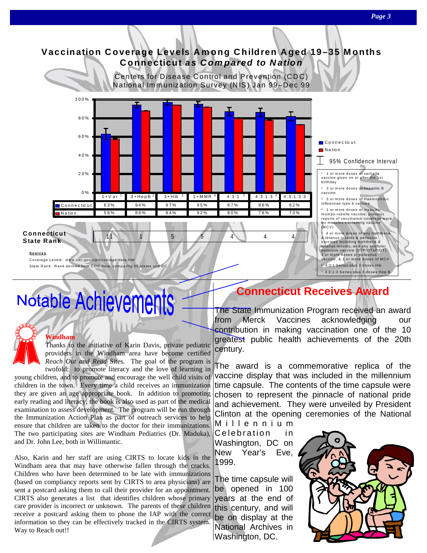

# Notable Achievements

#### **Windham**

Thanks to the initiative of Karin Davis, private pediatric providers in the Windham area have become certified *Reach Out and Read* Sites. The goal of the program is twofold: to promote literacy and the love of learning in

young children, and to promote and encourage the well child visits of children in the town. Every time a child receives an immunization they are given an age appropriate book. In addition to promoting early reading and literacy, the book is also used as part of the medical examination to assess development. The program will be run through the Immunization Action Plan as part of outreach services to help ensure that children are taken to the doctor for their immunizations. The two participating sites are Windham Pediatrics (Dr. Maduka), and Dr. John Lee, both in Willimantic.

Also, Karin and her staff are using CIRTS to locate kids in the Windham area that may have otherwise fallen through the cracks. Children who have been determined to be late with immunizations (based on compliancy reports sent by CIRTS to area physicians) are sent a postcard asking them to call their provider for an appointment. CIRTS also generates a list that identifies children whose primary care provider is incorrect or unknown. The parents of these children receive a postcard asking them to phone the IAP with the correct information so they can be effectively tracked in the CIRTS system. Way to Reach out!!

# **Connecticut Receives Award**

The State Immunization Program received an award from Merck Vaccines acknowledging contribution in making vaccination one of the 10 greatest public health achievements of the 20th century.

The award is a commemorative replica of the vaccine display that was included in the millennium time capsule. The contents of the time capsule were chosen to represent the pinnacle of national pride and achievement. They were unveiled by President Clinton at the opening ceremonies of the National M i l l e n n i u m

Celebration in Washington, DC on New Year's Eve, 1999.

The time capsule will be opened in 100 years at the end of this century, and will be on display at the National Archives in Washington, DC.